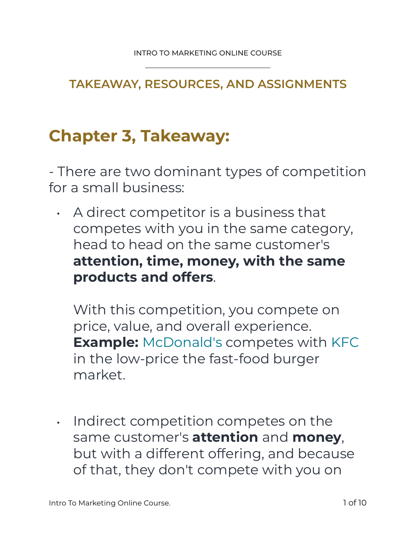#### **TAKEAWAY, RESOURCES, AND ASSIGNMENTS**

## **Chapter 3, Takeaway:**

- There are two dominant types of competition for a small business:

• A direct competitor is a business that competes with you in the same category, head to head on the same customer's **attention, time, money, with the same products and offers**.

With this competition, you compete on price, value, and overall experience. **Example:** McDonald's competes with KFC in the low-price the fast-food burger market.

• Indirect competition competes on the same customer's **attention** and **money**, but with a different offering, and because of that, they don't compete with you on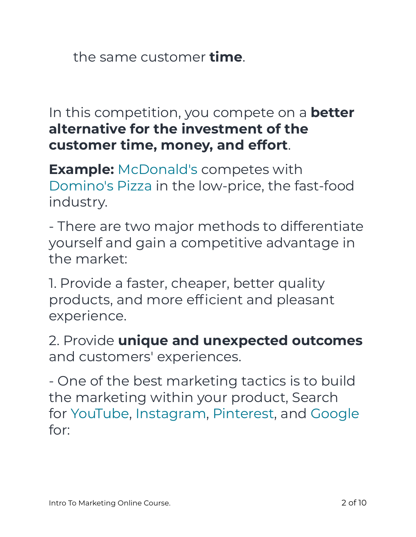the same customer **time**.

In this competition, you compete on a **better alternative for the investment of the customer time, money, and effort**.

**Example:** McDonald's competes with Domino's Pizza in the low-price, the fast-food industry.

- There are two major methods to differentiate yourself and gain a competitive advantage in the market:

1. Provide a faster, cheaper, better quality products, and more efficient and pleasant experience.

2. Provide **unique and unexpected outcomes**  and customers' experiences.

- One of the best marketing tactics is to build the marketing within your product, Search for YouTube, Instagram, Pinterest, and Google for: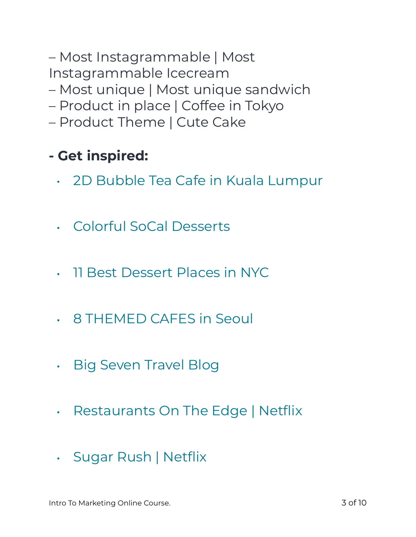– Most Instagrammable | Most Instagrammable Icecream

- Most unique | Most unique sandwich
- Product in place | Coffee in Tokyo
- Product Theme | Cute Cake

## **- Get inspired:**

- 2D Bubble Tea Cafe in Kuala Lumpur
- Colorful SoCal Desserts
- 11 Best Dessert Places in NYC
- 8 THEMED CAFES in Seoul
- Big Seven Travel Blog
- Restaurants On The Edge | Netflix
- Sugar Rush | Netflix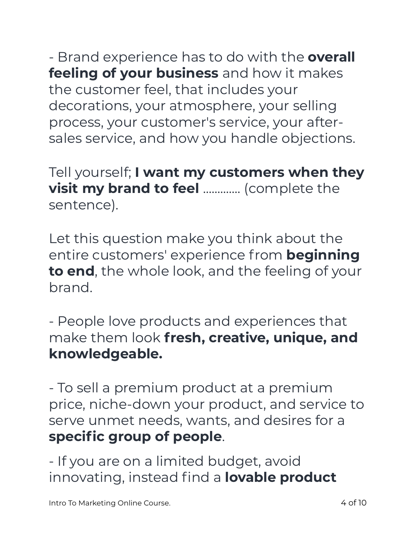- Brand experience has to do with the **overall feeling of your business** and how it makes the customer feel, that includes your decorations, your atmosphere, your selling process, your customer's service, your aftersales service, and how you handle objections.

Tell yourself; **I want my customers when they visit my brand to feel .............** (complete the sentence).

Let this question make you think about the entire customers' experience from **beginning to end**, the whole look, and the feeling of your brand.

- People love products and experiences that make them look **fresh, creative, unique, and knowledgeable.** 

- To sell a premium product at a premium price, niche-down your product, and service to serve unmet needs, wants, and desires for a **specific group of people**.

- If you are on a limited budget, avoid innovating, instead find a **lovable product**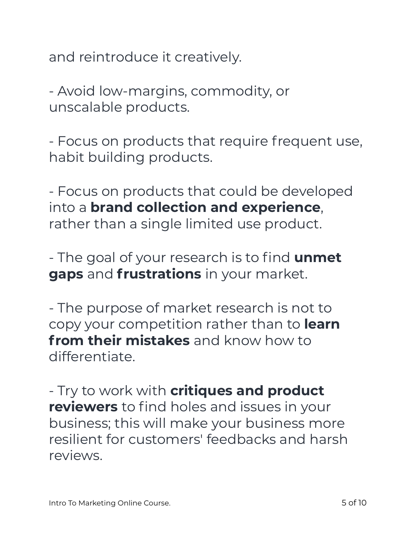and reintroduce it creatively.

- Avoid low-margins, commodity, or unscalable products.

- Focus on products that require frequent use, habit building products.

- Focus on products that could be developed into a **brand collection and experience**, rather than a single limited use product.

- The goal of your research is to find **unmet gaps** and **frustrations** in your market.

- The purpose of market research is not to copy your competition rather than to **learn from their mistakes** and know how to differentiate.

- Try to work with **critiques and product reviewers** to find holes and issues in your business; this will make your business more resilient for customers' feedbacks and harsh reviews.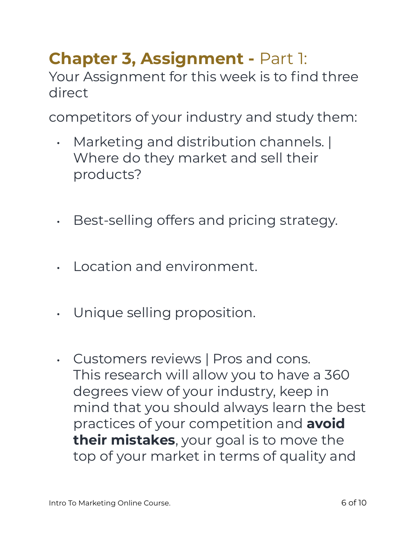# **Chapter 3, Assignment -** Part 1:

Your Assignment for this week is to find three direct

competitors of your industry and study them:

- Marketing and distribution channels. | Where do they market and sell their products?
- Best-selling offers and pricing strategy.
- Location and environment.
- Unique selling proposition.
- Customers reviews | Pros and cons. This research will allow you to have a 360 degrees view of your industry, keep in mind that you should always learn the best practices of your competition and **avoid their mistakes**, your goal is to move the top of your market in terms of quality and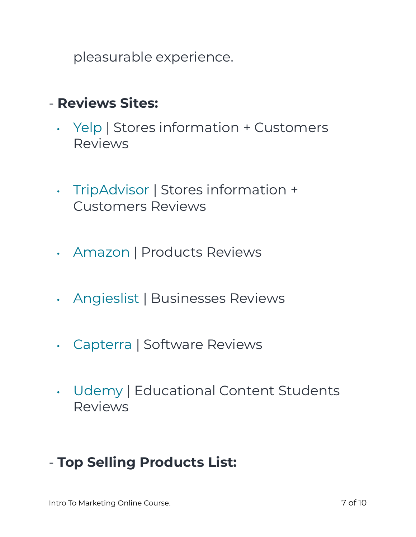pleasurable experience.

#### - **Reviews Sites:**

- Yelp | Stores information + Customers Reviews
- TripAdvisor | Stores information + Customers Reviews
- Amazon | Products Reviews
- Angieslist | Businesses Reviews
- Capterra | Software Reviews
- Udemy | Educational Content Students Reviews

### - **Top Selling Products List:**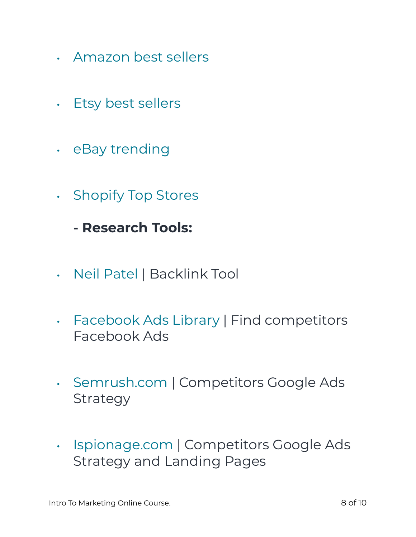- Amazon best sellers
- Etsy best sellers
- eBay trending
- Shopify Top Stores
	- **Research Tools:**
- Neil Patel | Backlink Tool
- Facebook Ads Library | Find competitors Facebook Ads
- Semrush.com | Competitors Google Ads Strategy
- Ispionage.com | Competitors Google Ads Strategy and Landing Pages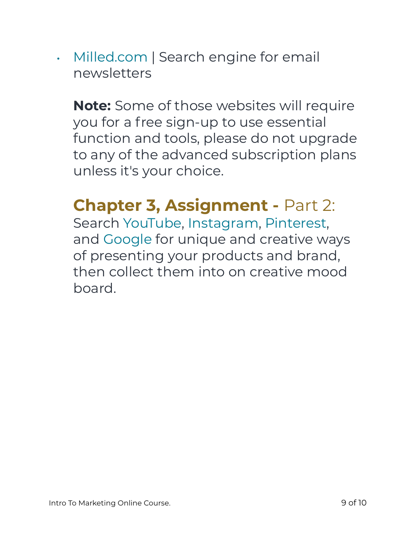• Milled.com | Search engine for email newsletters

**Note:** Some of those websites will require you for a free sign-up to use essential function and tools, please do not upgrade to any of the advanced subscription plans unless it's your choice.

## **Chapter 3, Assignment -** Part 2:

Search YouTube, Instagram, Pinterest, and Google for unique and creative ways of presenting your products and brand, then collect them into on creative mood board.